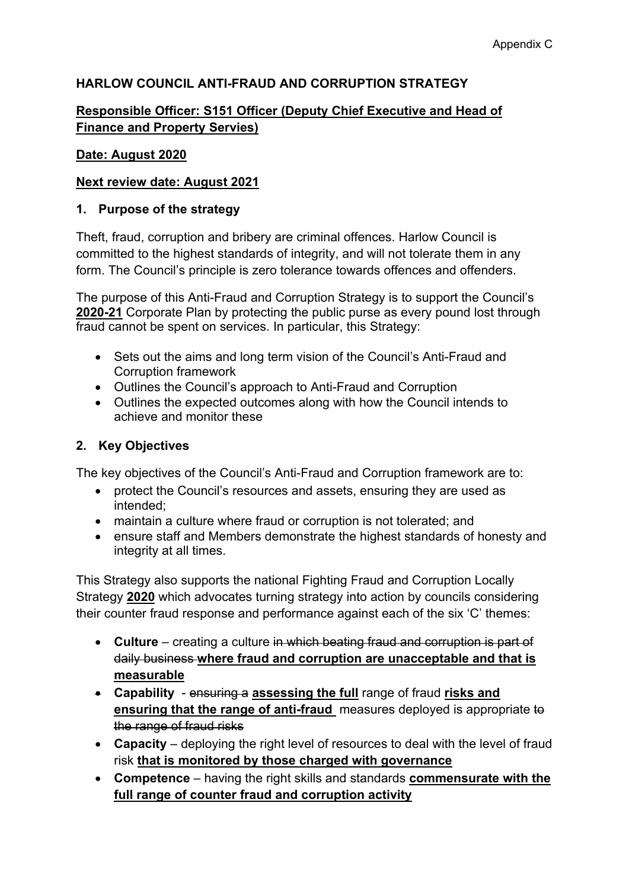## **HARLOW COUNCIL ANTI-FRAUD AND CORRUPTION STRATEGY**

## **Responsible Officer: S151 Officer (Deputy Chief Executive and Head of Finance and Property Servies)**

#### **Date: August 2020**

#### **Next review date: August 2021**

#### **1. Purpose of the strategy**

Theft, fraud, corruption and bribery are criminal offences. Harlow Council is committed to the highest standards of integrity, and will not tolerate them in any form. The Council's principle is zero tolerance towards offences and offenders.

The purpose of this Anti-Fraud and Corruption Strategy is to support the Council's **2020-21** Corporate Plan by protecting the public purse as every pound lost through fraud cannot be spent on services. In particular, this Strategy:

- Sets out the aims and long term vision of the Council's Anti-Fraud and Corruption framework
- Outlines the Council's approach to Anti-Fraud and Corruption
- Outlines the expected outcomes along with how the Council intends to achieve and monitor these

#### **2. Key Objectives**

The key objectives of the Council's Anti-Fraud and Corruption framework are to:

- protect the Council's resources and assets, ensuring they are used as intended;
- maintain a culture where fraud or corruption is not tolerated; and
- ensure staff and Members demonstrate the highest standards of honesty and integrity at all times.

This Strategy also supports the national Fighting Fraud and [Corruption](https://www.gov.uk/government/uploads/system/uploads/attachment_data/file/503657/Fighting_fraud_and_corruption_locally_strategy.pdf) Locally [Strategy](https://www.gov.uk/government/uploads/system/uploads/attachment_data/file/503657/Fighting_fraud_and_corruption_locally_strategy.pdf) **2020** which advocates turning strategy into action by councils considering their counter fraud response and performance against each of the six 'C' themes:

- **Culture** creating a culture in which beating fraud and corruption is part of daily business **where fraud and corruption are unacceptable and that is measurable**
- **Capability** ensuring a **assessing the full** range of fraud **risks and ensuring that the range of anti-fraud** measures deployed is appropriate to the range of fraud risks
- **Capacity** deploying the right level of resources to deal with the level of fraud risk **that is monitored by those charged with governance**
- **Competence** having the right skills and standards **commensurate with the full range of counter fraud and corruption activity**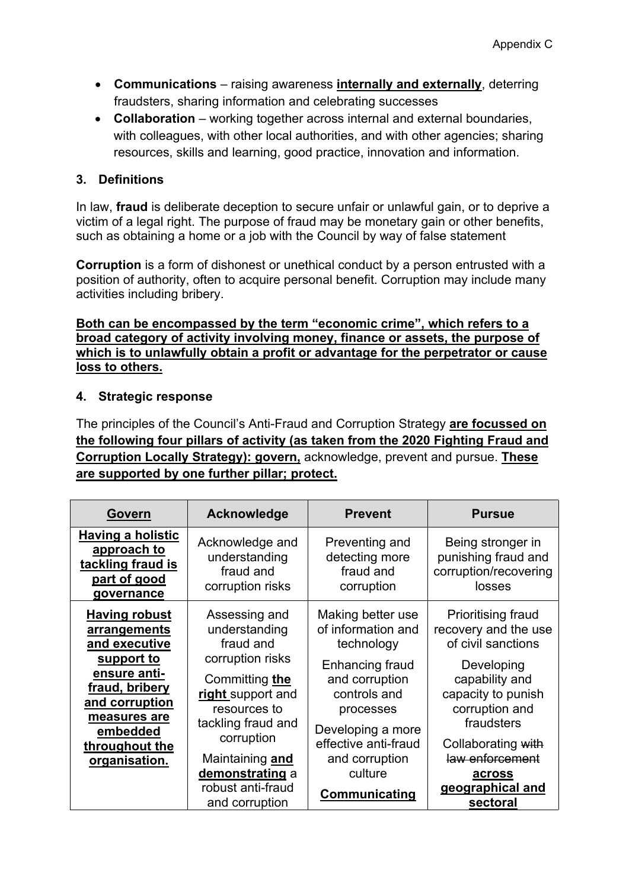- **Communications** raising awareness **internally and externally**, deterring fraudsters, sharing information and celebrating successes
- **Collaboration** working together across internal and external boundaries, with colleagues, with other local authorities, and with other agencies; sharing resources, skills and learning, good practice, innovation and information.

#### **3. Definitions**

In [law](https://en.wikipedia.org/wiki/Law), **fraud** is [deliberate](https://en.wikipedia.org/wiki/Intent_(law)) [deception](https://en.wikipedia.org/wiki/Deception) to secure unfair or unlawful gain, or to deprive a victim of a legal right. The purpose of fraud may be monetary gain or other benefits, such as obtaining a home or a job with the Council by way of false statement

**Corruption** is a form of [dishonest](https://en.wikipedia.org/wiki/Dishonest) or unethical conduct by a person entrusted with a position of authority, often to acquire personal benefit. Corruption may include many activities including [bribery.](https://en.wikipedia.org/wiki/Bribery)

**Both can be encompassed by the term "economic crime", which refers to a broad category of activity involving money, finance or assets, the purpose of which is to unlawfully obtain a profit or advantage for the perpetrator or cause loss to others.**

#### **4. Strategic response**

The principles of the Council's Anti-Fraud and Corruption Strategy **are focussed on the following four pillars of activity (as taken from the 2020 [Fighting](https://www.gov.uk/government/uploads/system/uploads/attachment_data/file/503657/Fighting_fraud_and_corruption_locally_strategy.pdf) Fraud and [Corruption](https://www.gov.uk/government/uploads/system/uploads/attachment_data/file/503657/Fighting_fraud_and_corruption_locally_strategy.pdf) Locally Strategy): govern,** acknowledge, prevent and pursue. **These are supported by one further pillar; protect.**

| Govern                                                                                                                                                                                 | Acknowledge                                                                                                                                                                                      | <b>Prevent</b>                                                                                                                                                                                    | <b>Pursue</b>                                                                                                                                                                                             |
|----------------------------------------------------------------------------------------------------------------------------------------------------------------------------------------|--------------------------------------------------------------------------------------------------------------------------------------------------------------------------------------------------|---------------------------------------------------------------------------------------------------------------------------------------------------------------------------------------------------|-----------------------------------------------------------------------------------------------------------------------------------------------------------------------------------------------------------|
| <b>Having a holistic</b><br>approach to<br>tackling fraud is<br>part of good<br>governance                                                                                             | Acknowledge and<br>understanding<br>fraud and<br>corruption risks                                                                                                                                | Preventing and<br>detecting more<br>fraud and<br>corruption                                                                                                                                       | Being stronger in<br>punishing fraud and<br>corruption/recovering<br>losses                                                                                                                               |
| <b>Having robust</b><br>arrangements<br>and executive<br>support to<br>ensure anti-<br>fraud, bribery<br>and corruption<br>measures are<br>embedded<br>throughout the<br>organisation. | Assessing and<br>understanding<br>fraud and<br>corruption risks<br>Committing the<br>right support and<br>resources to<br>tackling fraud and<br>corruption<br>Maintaining and<br>demonstrating a | Making better use<br>of information and<br>technology<br>Enhancing fraud<br>and corruption<br>controls and<br>processes<br>Developing a more<br>effective anti-fraud<br>and corruption<br>culture | Prioritising fraud<br>recovery and the use<br>of civil sanctions<br>Developing<br>capability and<br>capacity to punish<br>corruption and<br>fraudsters<br>Collaborating with<br>law enforcement<br>across |
|                                                                                                                                                                                        | robust anti-fraud<br>and corruption                                                                                                                                                              | Communicating                                                                                                                                                                                     | geographical and<br>sectoral                                                                                                                                                                              |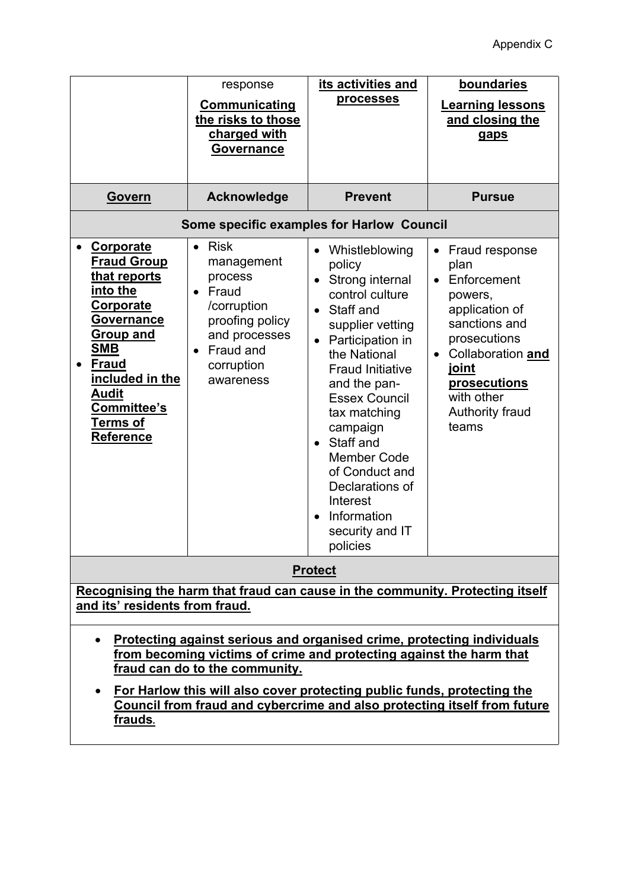|                                                                                                                                                                                                                                                                                                                                                                             | response                                                                                                                                                                        | its activities and                                                                                                                                                                                                                                                                                                                                                                                                       | boundaries                                                                                                                                                                                               |
|-----------------------------------------------------------------------------------------------------------------------------------------------------------------------------------------------------------------------------------------------------------------------------------------------------------------------------------------------------------------------------|---------------------------------------------------------------------------------------------------------------------------------------------------------------------------------|--------------------------------------------------------------------------------------------------------------------------------------------------------------------------------------------------------------------------------------------------------------------------------------------------------------------------------------------------------------------------------------------------------------------------|----------------------------------------------------------------------------------------------------------------------------------------------------------------------------------------------------------|
|                                                                                                                                                                                                                                                                                                                                                                             | <b>Communicating</b><br>the risks to those<br>charged with<br><b>Governance</b>                                                                                                 | processes                                                                                                                                                                                                                                                                                                                                                                                                                | <b>Learning lessons</b><br>and closing the<br>gaps                                                                                                                                                       |
| Govern                                                                                                                                                                                                                                                                                                                                                                      | <b>Acknowledge</b>                                                                                                                                                              | <b>Prevent</b>                                                                                                                                                                                                                                                                                                                                                                                                           | <b>Pursue</b>                                                                                                                                                                                            |
| Some specific examples for Harlow Council                                                                                                                                                                                                                                                                                                                                   |                                                                                                                                                                                 |                                                                                                                                                                                                                                                                                                                                                                                                                          |                                                                                                                                                                                                          |
| Corporate<br><b>Fraud Group</b><br>that reports<br>into the<br><b>Corporate</b><br><b>Governance</b><br><b>Group and</b><br><b>SMB</b><br><b>Fraud</b><br>$\bullet$<br>included in the<br>Audit<br>Committee's<br><u>Terms of</u><br><b>Reference</b>                                                                                                                       | <b>Risk</b><br>$\bullet$<br>management<br>process<br>Fraud<br>$\bullet$<br>/corruption<br>proofing policy<br>and processes<br>Fraud and<br>$\bullet$<br>corruption<br>awareness | Whistleblowing<br>policy<br>Strong internal<br>$\bullet$<br>control culture<br>Staff and<br>$\bullet$<br>supplier vetting<br>Participation in<br>the National<br><b>Fraud Initiative</b><br>and the pan-<br><b>Essex Council</b><br>tax matching<br>campaign<br>Staff and<br>$\bullet$<br><b>Member Code</b><br>of Conduct and<br>Declarations of<br>Interest<br>Information<br>$\bullet$<br>security and IT<br>policies | Fraud response<br>plan<br>Enforcement<br>$\bullet$<br>powers,<br>application of<br>sanctions and<br>prosecutions<br>Collaboration and<br>joint<br>prosecutions<br>with other<br>Authority fraud<br>teams |
| <b>Protect</b>                                                                                                                                                                                                                                                                                                                                                              |                                                                                                                                                                                 |                                                                                                                                                                                                                                                                                                                                                                                                                          |                                                                                                                                                                                                          |
| Recognising the harm that fraud can cause in the community. Protecting itself<br>and its' residents from fraud.                                                                                                                                                                                                                                                             |                                                                                                                                                                                 |                                                                                                                                                                                                                                                                                                                                                                                                                          |                                                                                                                                                                                                          |
| Protecting against serious and organised crime, protecting individuals<br>$\bullet$<br>from becoming victims of crime and protecting against the harm that<br>fraud can do to the community.<br>For Harlow this will also cover protecting public funds, protecting the<br>$\bullet$<br>Council from fraud and cybercrime and also protecting itself from future<br>frauds. |                                                                                                                                                                                 |                                                                                                                                                                                                                                                                                                                                                                                                                          |                                                                                                                                                                                                          |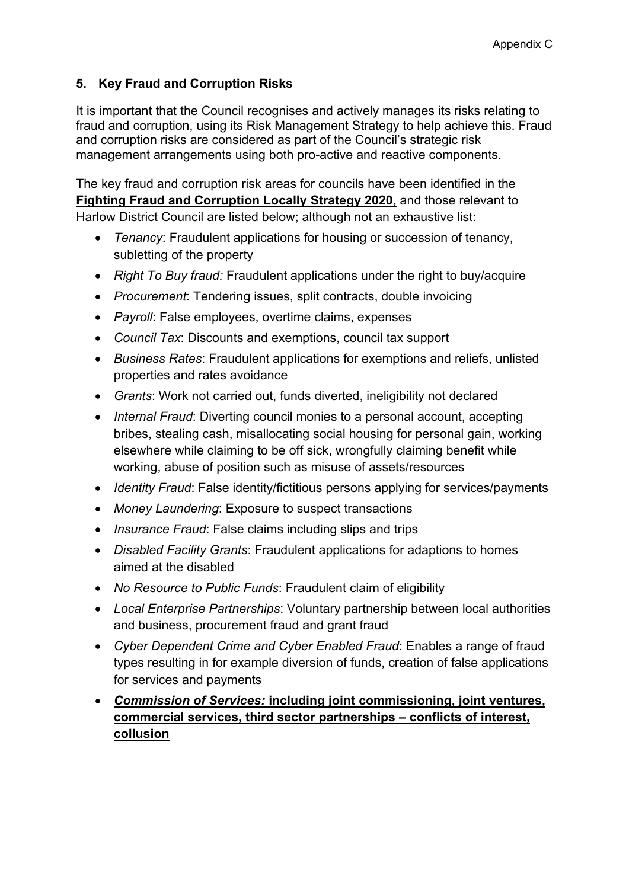## **5. Key Fraud and Corruption Risks**

It is important that the Council recognises and actively manages its risks relating to fraud and corruption, using its Risk Management Strategy to help achieve this. Fraud and corruption risks are considered as part of the Council's strategic risk management arrangements using both pro-active and reactive components.

The key fraud and corruption risk areas for councils have been identified in the **Fighting Fraud and [Corruption](https://www.gov.uk/government/uploads/system/uploads/attachment_data/file/503657/Fighting_fraud_and_corruption_locally_strategy.pdf) Locally Strategy 2020,** and those relevant to Harlow District Council are listed below; although not an exhaustive list:

- *Tenancy*: Fraudulent applications for housing or succession of tenancy, subletting of the property
- *Right To Buy fraud:* Fraudulent applications under the right to buy/acquire
- *Procurement*: Tendering issues, split contracts, double invoicing
- *Payroll*: False employees, overtime claims, expenses
- *Council Tax*: Discounts and exemptions, council tax support
- *Business Rates*: Fraudulent applications for exemptions and reliefs, unlisted properties and rates avoidance
- *Grants*: Work not carried out, funds diverted, ineligibility not declared
- *Internal Fraud*: Diverting council monies to a personal account, accepting bribes, stealing cash, misallocating social housing for personal gain, working elsewhere while claiming to be off sick, wrongfully claiming benefit while working, abuse of position such as misuse of assets/resources
- *Identity Fraud*: False identity/fictitious persons applying for services/payments
- *Money Laundering*: Exposure to suspect transactions
- *Insurance Fraud*: False claims including slips and trips
- *Disabled Facility Grants*: Fraudulent applications for adaptions to homes aimed at the disabled
- *No Resource to Public Funds*: Fraudulent claim of eligibility
- *Local Enterprise Partnerships*: Voluntary partnership between local authorities and business, procurement fraud and grant fraud
- *Cyber Dependent Crime and Cyber Enabled Fraud*: Enables a range of fraud types resulting in for example diversion of funds, creation of false applications for services and payments
- *Commission of Services:* **including joint commissioning, joint ventures, commercial services, third sector partnerships – conflicts of interest, collusion**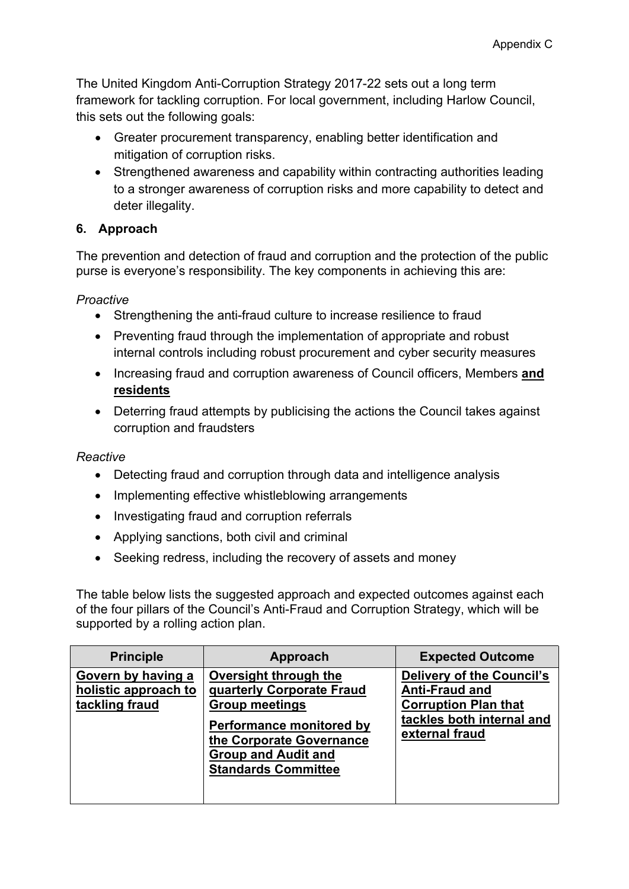The United Kingdom Anti-Corruption Strategy 2017-22 sets out a long term framework for tackling corruption. For local government, including Harlow Council, this sets out the following goals:

- Greater procurement transparency, enabling better identification and mitigation of corruption risks.
- Strengthened awareness and capability within contracting authorities leading to a stronger awareness of corruption risks and more capability to detect and deter illegality.

## **6. Approach**

The prevention and detection of fraud and corruption and the protection of the public purse is everyone's responsibility. The key components in achieving this are:

*Proactive*

- Strengthening the anti-fraud culture to increase resilience to fraud
- Preventing fraud through the implementation of appropriate and robust internal controls including robust procurement and cyber security measures
- Increasing fraud and corruption awareness of Council officers, Members **and residents**
- Deterring fraud attempts by publicising the actions the Council takes against corruption and fraudsters

## *Reactive*

- Detecting fraud and corruption through data and intelligence analysis
- Implementing effective whistleblowing arrangements
- Investigating fraud and corruption referrals
- Applying sanctions, both civil and criminal
- Seeking redress, including the recovery of assets and money

The table below lists the suggested approach and expected outcomes against each of the four pillars of the Council's Anti-Fraud and Corruption Strategy, which will be supported by a rolling action plan.

| <b>Principle</b>                                             | Approach                                                                                                                                                                                        | <b>Expected Outcome</b>                                                                                                                 |
|--------------------------------------------------------------|-------------------------------------------------------------------------------------------------------------------------------------------------------------------------------------------------|-----------------------------------------------------------------------------------------------------------------------------------------|
| Govern by having a<br>holistic approach to<br>tackling fraud | Oversight through the<br>quarterly Corporate Fraud<br><b>Group meetings</b><br>Performance monitored by<br>the Corporate Governance<br><b>Group and Audit and</b><br><b>Standards Committee</b> | <b>Delivery of the Council's</b><br><b>Anti-Fraud and</b><br><b>Corruption Plan that</b><br>tackles both internal and<br>external fraud |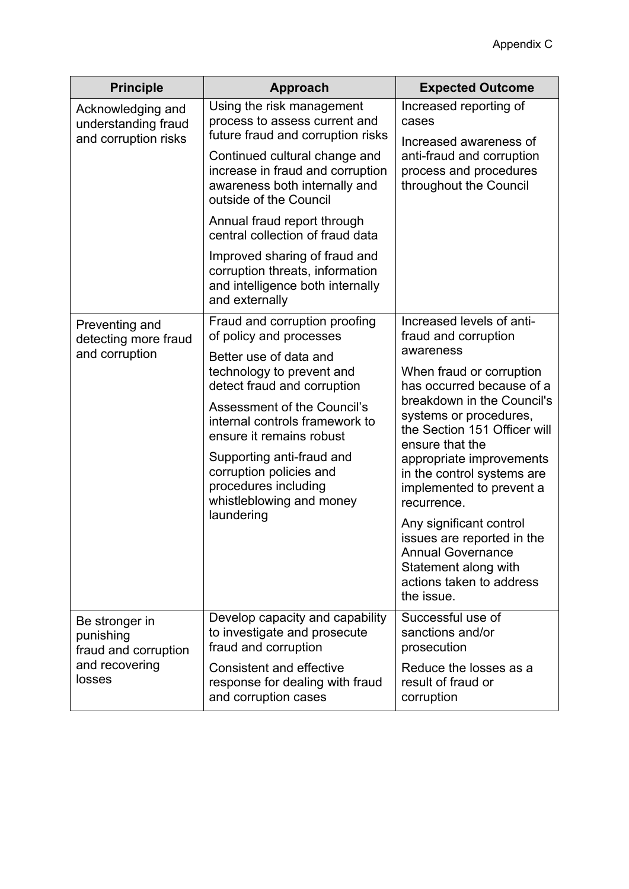| <b>Principle</b>                                                                | <b>Approach</b>                                                                                                              | <b>Expected Outcome</b>                                                                                                                      |
|---------------------------------------------------------------------------------|------------------------------------------------------------------------------------------------------------------------------|----------------------------------------------------------------------------------------------------------------------------------------------|
| Acknowledging and<br>understanding fraud<br>and corruption risks                | Using the risk management<br>process to assess current and<br>future fraud and corruption risks                              | Increased reporting of<br>cases<br>Increased awareness of<br>anti-fraud and corruption<br>process and procedures<br>throughout the Council   |
|                                                                                 | Continued cultural change and<br>increase in fraud and corruption<br>awareness both internally and<br>outside of the Council |                                                                                                                                              |
|                                                                                 | Annual fraud report through<br>central collection of fraud data                                                              |                                                                                                                                              |
|                                                                                 | Improved sharing of fraud and<br>corruption threats, information<br>and intelligence both internally<br>and externally       |                                                                                                                                              |
| Preventing and<br>detecting more fraud<br>and corruption                        | Fraud and corruption proofing<br>of policy and processes                                                                     | Increased levels of anti-<br>fraud and corruption                                                                                            |
|                                                                                 | Better use of data and<br>technology to prevent and<br>detect fraud and corruption                                           | awareness<br>When fraud or corruption<br>has occurred because of a<br>breakdown in the Council's                                             |
|                                                                                 | Assessment of the Council's<br>internal controls framework to<br>ensure it remains robust                                    | systems or procedures,<br>the Section 151 Officer will                                                                                       |
|                                                                                 | Supporting anti-fraud and<br>corruption policies and<br>procedures including<br>whistleblowing and money<br>laundering       | ensure that the<br>appropriate improvements<br>in the control systems are<br>implemented to prevent a<br>recurrence.                         |
|                                                                                 |                                                                                                                              | Any significant control<br>issues are reported in the<br>Annual Governance<br>Statement along with<br>actions taken to address<br>the issue. |
| Be stronger in<br>punishing<br>fraud and corruption<br>and recovering<br>losses | Develop capacity and capability<br>to investigate and prosecute<br>fraud and corruption                                      | Successful use of<br>sanctions and/or<br>prosecution                                                                                         |
|                                                                                 | <b>Consistent and effective</b><br>response for dealing with fraud<br>and corruption cases                                   | Reduce the losses as a<br>result of fraud or<br>corruption                                                                                   |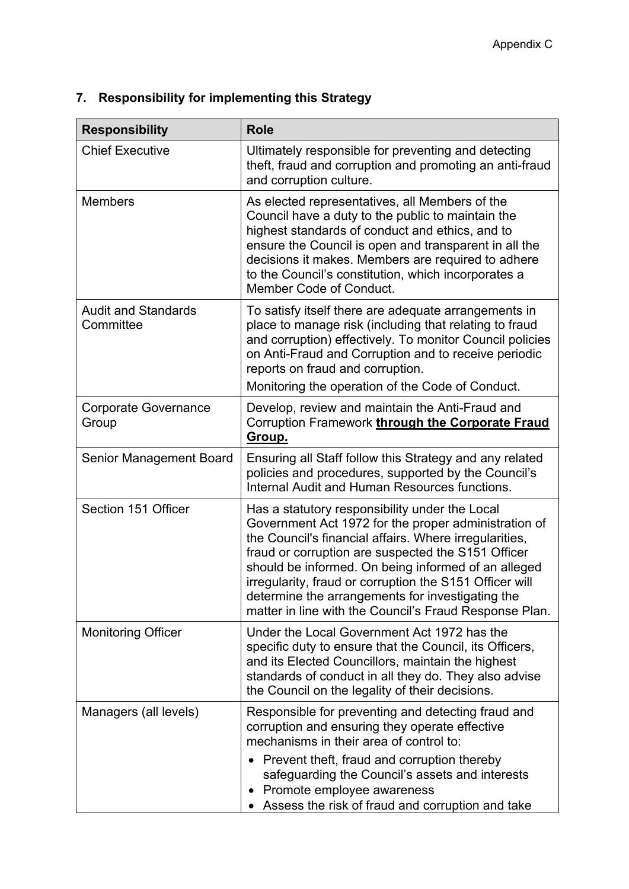| <b>Responsibility</b>                   | <b>Role</b>                                                                                                                                                                                                                                                                                                                                                                                                                                            |
|-----------------------------------------|--------------------------------------------------------------------------------------------------------------------------------------------------------------------------------------------------------------------------------------------------------------------------------------------------------------------------------------------------------------------------------------------------------------------------------------------------------|
| <b>Chief Executive</b>                  | Ultimately responsible for preventing and detecting<br>theft, fraud and corruption and promoting an anti-fraud<br>and corruption culture.                                                                                                                                                                                                                                                                                                              |
| <b>Members</b>                          | As elected representatives, all Members of the<br>Council have a duty to the public to maintain the<br>highest standards of conduct and ethics, and to<br>ensure the Council is open and transparent in all the<br>decisions it makes. Members are required to adhere<br>to the Council's constitution, which incorporates a<br>Member Code of Conduct.                                                                                                |
| <b>Audit and Standards</b><br>Committee | To satisfy itself there are adequate arrangements in<br>place to manage risk (including that relating to fraud<br>and corruption) effectively. To monitor Council policies<br>on Anti-Fraud and Corruption and to receive periodic<br>reports on fraud and corruption.<br>Monitoring the operation of the Code of Conduct.                                                                                                                             |
| <b>Corporate Governance</b><br>Group    | Develop, review and maintain the Anti-Fraud and<br>Corruption Framework through the Corporate Fraud<br>Group.                                                                                                                                                                                                                                                                                                                                          |
| Senior Management Board                 | Ensuring all Staff follow this Strategy and any related<br>policies and procedures, supported by the Council's<br>Internal Audit and Human Resources functions.                                                                                                                                                                                                                                                                                        |
| Section 151 Officer                     | Has a statutory responsibility under the Local<br>Government Act 1972 for the proper administration of<br>the Council's financial affairs. Where irregularities,<br>fraud or corruption are suspected the S151 Officer<br>should be informed. On being informed of an alleged<br>irregularity, fraud or corruption the S151 Officer will<br>determine the arrangements for investigating the<br>matter in line with the Council's Fraud Response Plan. |
| <b>Monitoring Officer</b>               | Under the Local Government Act 1972 has the<br>specific duty to ensure that the Council, its Officers,<br>and its Elected Councillors, maintain the highest<br>standards of conduct in all they do. They also advise<br>the Council on the legality of their decisions.                                                                                                                                                                                |
| Managers (all levels)                   | Responsible for preventing and detecting fraud and<br>corruption and ensuring they operate effective<br>mechanisms in their area of control to:                                                                                                                                                                                                                                                                                                        |
|                                         | Prevent theft, fraud and corruption thereby<br>safeguarding the Council's assets and interests<br>Promote employee awareness<br>Assess the risk of fraud and corruption and take                                                                                                                                                                                                                                                                       |

## **7. Responsibility for implementing this Strategy**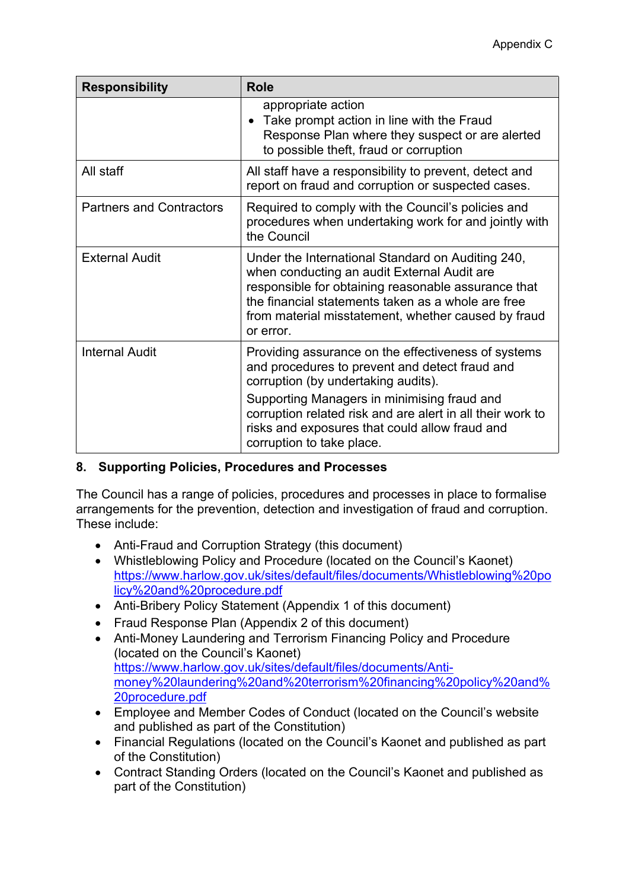| <b>Responsibility</b>           | <b>Role</b>                                                                                                                                                                                                                                                                       |
|---------------------------------|-----------------------------------------------------------------------------------------------------------------------------------------------------------------------------------------------------------------------------------------------------------------------------------|
|                                 | appropriate action<br>Take prompt action in line with the Fraud<br>Response Plan where they suspect or are alerted<br>to possible theft, fraud or corruption                                                                                                                      |
| All staff                       | All staff have a responsibility to prevent, detect and<br>report on fraud and corruption or suspected cases.                                                                                                                                                                      |
| <b>Partners and Contractors</b> | Required to comply with the Council's policies and<br>procedures when undertaking work for and jointly with<br>the Council                                                                                                                                                        |
| <b>External Audit</b>           | Under the International Standard on Auditing 240,<br>when conducting an audit External Audit are<br>responsible for obtaining reasonable assurance that<br>the financial statements taken as a whole are free<br>from material misstatement, whether caused by fraud<br>or error. |
| <b>Internal Audit</b>           | Providing assurance on the effectiveness of systems<br>and procedures to prevent and detect fraud and<br>corruption (by undertaking audits).                                                                                                                                      |
|                                 | Supporting Managers in minimising fraud and<br>corruption related risk and are alert in all their work to<br>risks and exposures that could allow fraud and<br>corruption to take place.                                                                                          |

## **8. Supporting Policies, Procedures and Processes**

The Council has a range of policies, procedures and processes in place to formalise arrangements for the prevention, detection and investigation of fraud and corruption. These include:

- Anti-Fraud and Corruption Strategy (this document)
- Whistleblowing Policy and Procedure (located on the Council's Kaonet) [https://www.harlow.gov.uk/sites/default/files/documents/Whistleblowing%20po](https://www.harlow.gov.uk/sites/default/files/documents/Whistleblowing%20policy%20and%20procedure.pdf) [licy%20and%20procedure.pdf](https://www.harlow.gov.uk/sites/default/files/documents/Whistleblowing%20policy%20and%20procedure.pdf)
- Anti-Bribery Policy Statement (Appendix 1 of this document)
- Fraud Response Plan (Appendix 2 of this document)
- Anti-Money Laundering and Terrorism Financing Policy and Procedure (located on the Council's Kaonet) [https://www.harlow.gov.uk/sites/default/files/documents/Anti](https://www.harlow.gov.uk/sites/default/files/documents/Anti-money%20laundering%20and%20terrorism%20financing%20policy%20and%20procedure.pdf)[money%20laundering%20and%20terrorism%20financing%20policy%20and%](https://www.harlow.gov.uk/sites/default/files/documents/Anti-money%20laundering%20and%20terrorism%20financing%20policy%20and%20procedure.pdf) [20procedure.pdf](https://www.harlow.gov.uk/sites/default/files/documents/Anti-money%20laundering%20and%20terrorism%20financing%20policy%20and%20procedure.pdf)
- Employee and Member Codes of Conduct (located on the Council's website and published as part of the Constitution)
- Financial Regulations (located on the Council's Kaonet and published as part of the Constitution)
- Contract Standing Orders (located on the Council's Kaonet and published as part of the Constitution)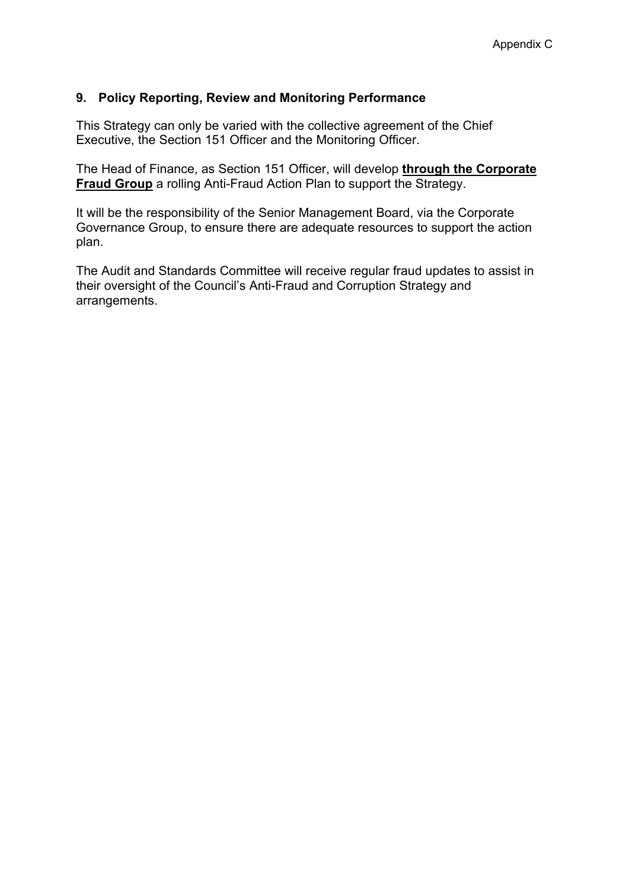#### **9. Policy Reporting, Review and Monitoring Performance**

This Strategy can only be varied with the collective agreement of the Chief Executive, the Section 151 Officer and the Monitoring Officer.

The Head of Finance, as Section 151 Officer, will develop **through the Corporate Fraud Group** a rolling Anti-Fraud Action Plan to support the Strategy.

It will be the responsibility of the Senior Management Board, via the Corporate Governance Group, to ensure there are adequate resources to support the action plan.

The Audit and Standards Committee will receive regular fraud updates to assist in their oversight of the Council's Anti-Fraud and Corruption Strategy and arrangements.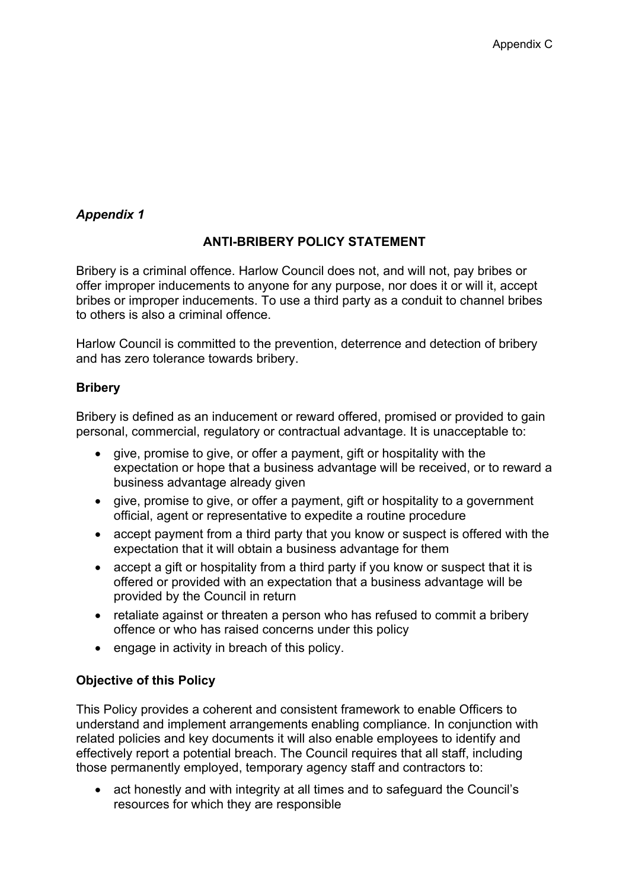## *Appendix 1*

## **ANTI-BRIBERY POLICY STATEMENT**

Bribery is a criminal offence. Harlow Council does not, and will not, pay bribes or offer improper inducements to anyone for any purpose, nor does it or will it, accept bribes or improper inducements. To use a third party as a conduit to channel bribes to others is also a criminal offence.

Harlow Council is committed to the prevention, deterrence and detection of bribery and has zero tolerance towards bribery.

#### **Bribery**

Bribery is defined as an inducement or reward offered, promised or provided to gain personal, commercial, regulatory or contractual advantage. It is unacceptable to:

- give, promise to give, or offer a payment, gift or hospitality with the expectation or hope that a business advantage will be received, or to reward a business advantage already given
- give, promise to give, or offer a payment, gift or hospitality to a government official, agent or representative to expedite a routine procedure
- accept payment from a third party that you know or suspect is offered with the expectation that it will obtain a business advantage for them
- accept a gift or hospitality from a third party if you know or suspect that it is offered or provided with an expectation that a business advantage will be provided by the Council in return
- retaliate against or threaten a person who has refused to commit a bribery offence or who has raised concerns under this policy
- engage in activity in breach of this policy.

## **Objective of this Policy**

This Policy provides a coherent and consistent framework to enable Officers to understand and implement arrangements enabling compliance. In conjunction with related policies and key documents it will also enable employees to identify and effectively report a potential breach. The Council requires that all staff, including those permanently employed, temporary agency staff and contractors to:

 act honestly and with integrity at all times and to safeguard the Council's resources for which they are responsible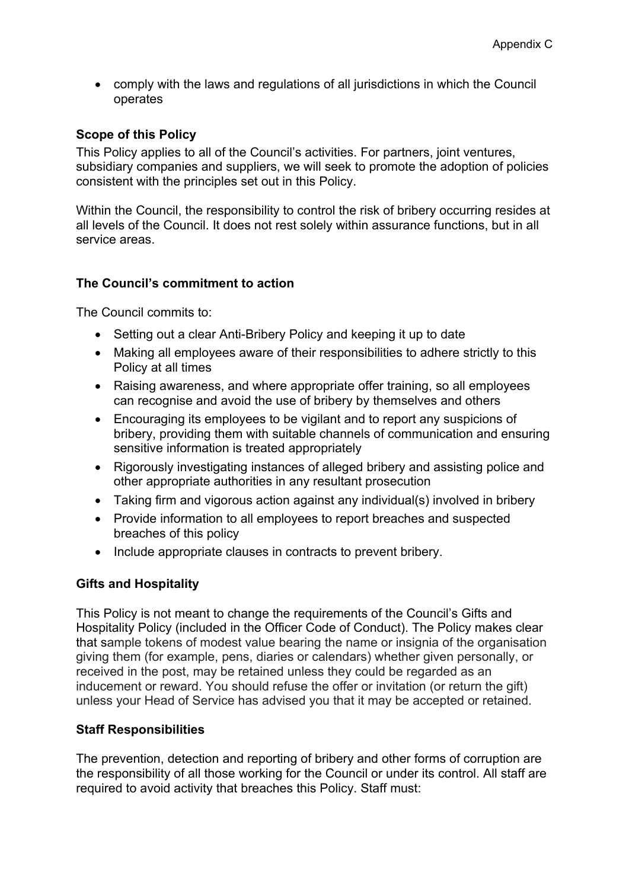comply with the laws and regulations of all jurisdictions in which the Council operates

#### **Scope of this Policy**

This Policy applies to all of the Council's activities. For partners, joint ventures, subsidiary companies and suppliers, we will seek to promote the adoption of policies consistent with the principles set out in this Policy.

Within the Council, the responsibility to control the risk of bribery occurring resides at all levels of the Council. It does not rest solely within assurance functions, but in all service areas.

#### **The Council's commitment to action**

The Council commits to:

- Setting out a clear Anti-Bribery Policy and keeping it up to date
- Making all employees aware of their responsibilities to adhere strictly to this Policy at all times
- Raising awareness, and where appropriate offer training, so all employees can recognise and avoid the use of bribery by themselves and others
- Encouraging its employees to be vigilant and to report any suspicions of bribery, providing them with suitable channels of communication and ensuring sensitive information is treated appropriately
- Rigorously investigating instances of alleged bribery and assisting police and other appropriate authorities in any resultant prosecution
- Taking firm and vigorous action against any individual(s) involved in bribery
- Provide information to all employees to report breaches and suspected breaches of this policy
- Include appropriate clauses in contracts to prevent bribery.

## **Gifts and Hospitality**

This Policy is not meant to change the requirements of the Council's Gifts and Hospitality Policy (included in the Officer Code of Conduct). The Policy makes clear that sample tokens of modest value bearing the name or insignia of the organisation giving them (for example, pens, diaries or calendars) whether given personally, or received in the post, may be retained unless they could be regarded as an inducement or reward. You should refuse the offer or invitation (or return the gift) unless your Head of Service has advised you that it may be accepted or retained.

#### **Staff Responsibilities**

The prevention, detection and reporting of bribery and other forms of corruption are the responsibility of all those working for the Council or under its control. All staff are required to avoid activity that breaches this Policy. Staff must: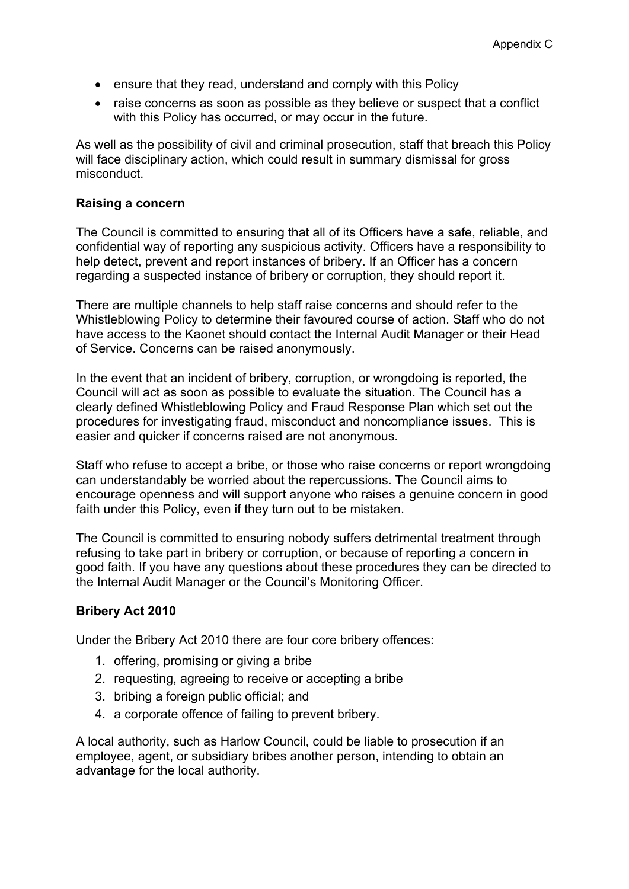- ensure that they read, understand and comply with this Policy
- raise concerns as soon as possible as they believe or suspect that a conflict with this Policy has occurred, or may occur in the future.

As well as the possibility of civil and criminal prosecution, staff that breach this Policy will face disciplinary action, which could result in summary dismissal for gross misconduct.

#### **Raising a concern**

The Council is committed to ensuring that all of its Officers have a safe, reliable, and confidential way of reporting any suspicious activity. Officers have a responsibility to help detect, prevent and report instances of bribery. If an Officer has a concern regarding a suspected instance of bribery or corruption, they should report it.

There are multiple channels to help staff raise concerns and should refer to the Whistleblowing Policy to determine their favoured course of action. Staff who do not have access to the Kaonet should contact the Internal Audit Manager or their Head of Service. Concerns can be raised anonymously.

In the event that an incident of bribery, corruption, or wrongdoing is reported, the Council will act as soon as possible to evaluate the situation. The Council has a clearly defined Whistleblowing Policy and Fraud Response Plan which set out the procedures for investigating fraud, misconduct and noncompliance issues. This is easier and quicker if concerns raised are not anonymous.

Staff who refuse to accept a bribe, or those who raise concerns or report wrongdoing can understandably be worried about the repercussions. The Council aims to encourage openness and will support anyone who raises a genuine concern in good faith under this Policy, even if they turn out to be mistaken.

The Council is committed to ensuring nobody suffers detrimental treatment through refusing to take part in bribery or corruption, or because of reporting a concern in good faith. If you have any questions about these procedures they can be directed to the Internal Audit Manager or the Council's Monitoring Officer.

## **Bribery Act 2010**

Under the Bribery Act 2010 there are four core bribery offences:

- 1. offering, promising or giving a bribe
- 2. requesting, agreeing to receive or accepting a bribe
- 3. bribing a foreign public official; and
- 4. a corporate offence of failing to prevent bribery.

A local authority, such as Harlow Council, could be liable to prosecution if an employee, agent, or subsidiary bribes another person, intending to obtain an advantage for the local authority.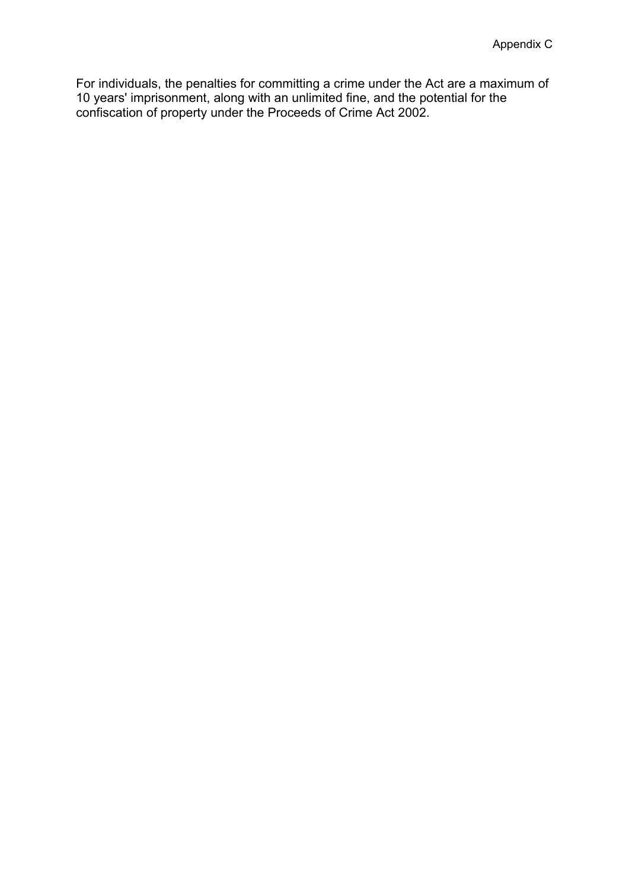For individuals, the penalties for committing a crime under the Act are a maximum of 10 years' imprisonment, along with an unlimited fine, and the potential for the confiscation of property under the [Proceeds](https://en.wikipedia.org/wiki/Proceeds_of_Crime_Act_2002) of Crime Act 2002.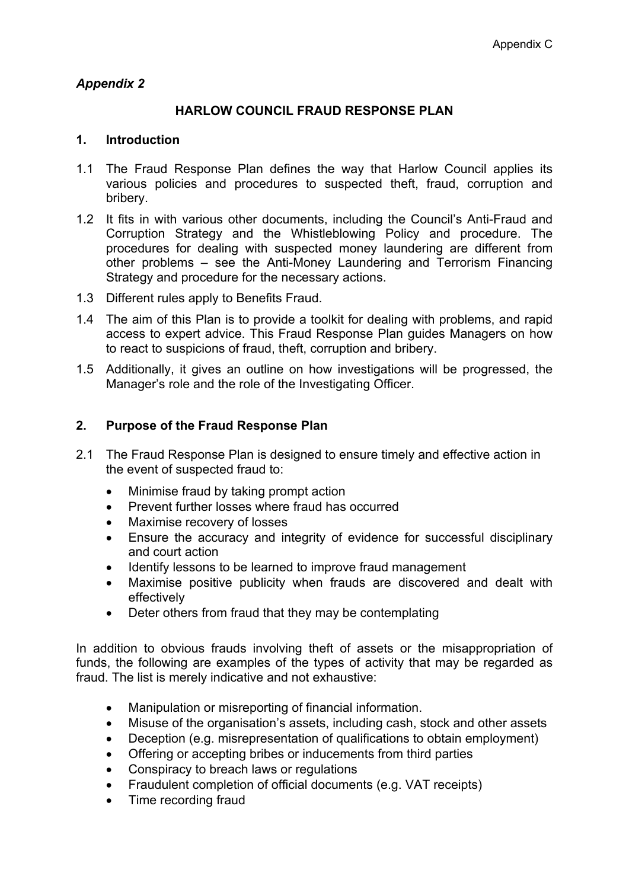## *Appendix 2*

## **HARLOW COUNCIL FRAUD RESPONSE PLAN**

#### **1. Introduction**

- 1.1 The Fraud Response Plan defines the way that Harlow Council applies its various policies and procedures to suspected theft, fraud, corruption and bribery.
- 1.2 It fits in with various other documents, including the Council's Anti-Fraud and Corruption Strategy and the Whistleblowing Policy and procedure. The procedures for dealing with suspected money laundering are different from other problems – see the Anti-Money Laundering and Terrorism Financing Strategy and procedure for the necessary actions.
- 1.3 Different rules apply to Benefits Fraud.
- 1.4 The aim of this Plan is to provide a toolkit for dealing with problems, and rapid access to expert advice. This Fraud Response Plan guides Managers on how to react to suspicions of fraud, theft, corruption and bribery.
- 1.5 Additionally, it gives an outline on how investigations will be progressed, the Manager's role and the role of the Investigating Officer.

#### **2. Purpose of the Fraud Response Plan**

- 2.1 The Fraud Response Plan is designed to ensure timely and effective action in the event of suspected fraud to:
	- Minimise fraud by taking prompt action
	- Prevent further losses where fraud has occurred
	- Maximise recovery of losses
	- Ensure the accuracy and integrity of evidence for successful disciplinary and court action
	- Identify lessons to be learned to improve fraud management
	- Maximise positive publicity when frauds are discovered and dealt with effectively
	- Deter others from fraud that they may be contemplating

In addition to obvious frauds involving theft of assets or the misappropriation of funds, the following are examples of the types of activity that may be regarded as fraud. The list is merely indicative and not exhaustive:

- Manipulation or misreporting of financial information.
- Misuse of the organisation's assets, including cash, stock and other assets
- Deception (e.g. misrepresentation of qualifications to obtain employment)
- Offering or accepting bribes or inducements from third parties
- Conspiracy to breach laws or regulations
- Fraudulent completion of official documents (e.g. VAT receipts)
- Time recording fraud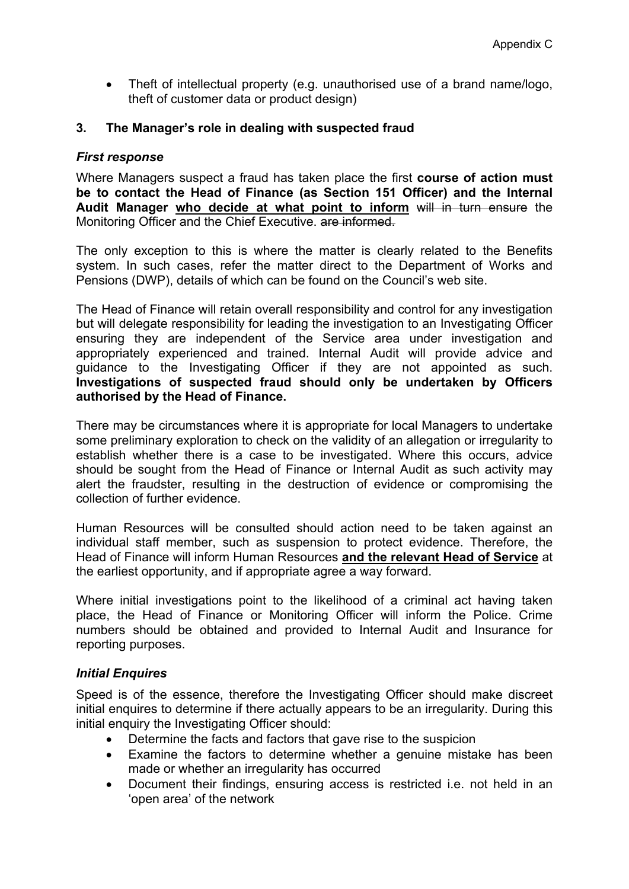Theft of intellectual property (e.g. unauthorised use of a brand name/logo, theft of customer data or product design)

#### **3. The Manager's role in dealing with suspected fraud**

#### *First response*

Where Managers suspect a fraud has taken place the first **course of action must be to contact the Head of Finance (as Section 151 Officer) and the Internal Audit Manager who decide at what point to inform** will in turn ensure the Monitoring Officer and the Chief Executive. are informed.

The only exception to this is where the matter is clearly related to the Benefits system. In such cases, refer the matter direct to the Department of Works and Pensions (DWP), details of which can be found on the Council's web site.

The Head of Finance will retain overall responsibility and control for any investigation but will delegate responsibility for leading the investigation to an Investigating Officer ensuring they are independent of the Service area under investigation and appropriately experienced and trained. Internal Audit will provide advice and guidance to the Investigating Officer if they are not appointed as such. **Investigations of suspected fraud should only be undertaken by Officers authorised by the Head of Finance.**

There may be circumstances where it is appropriate for local Managers to undertake some preliminary exploration to check on the validity of an allegation or irregularity to establish whether there is a case to be investigated. Where this occurs, advice should be sought from the Head of Finance or Internal Audit as such activity may alert the fraudster, resulting in the destruction of evidence or compromising the collection of further evidence.

Human Resources will be consulted should action need to be taken against an individual staff member, such as suspension to protect evidence. Therefore, the Head of Finance will inform Human Resources **and the relevant Head of Service** at the earliest opportunity, and if appropriate agree a way forward.

Where initial investigations point to the likelihood of a criminal act having taken place, the Head of Finance or Monitoring Officer will inform the Police. Crime numbers should be obtained and provided to Internal Audit and Insurance for reporting purposes.

#### *Initial Enquires*

Speed is of the essence, therefore the Investigating Officer should make discreet initial enquires to determine if there actually appears to be an irregularity. During this initial enquiry the Investigating Officer should:

- Determine the facts and factors that gave rise to the suspicion
- Examine the factors to determine whether a genuine mistake has been made or whether an irregularity has occurred
- Document their findings, ensuring access is restricted i.e. not held in an 'open area' of the network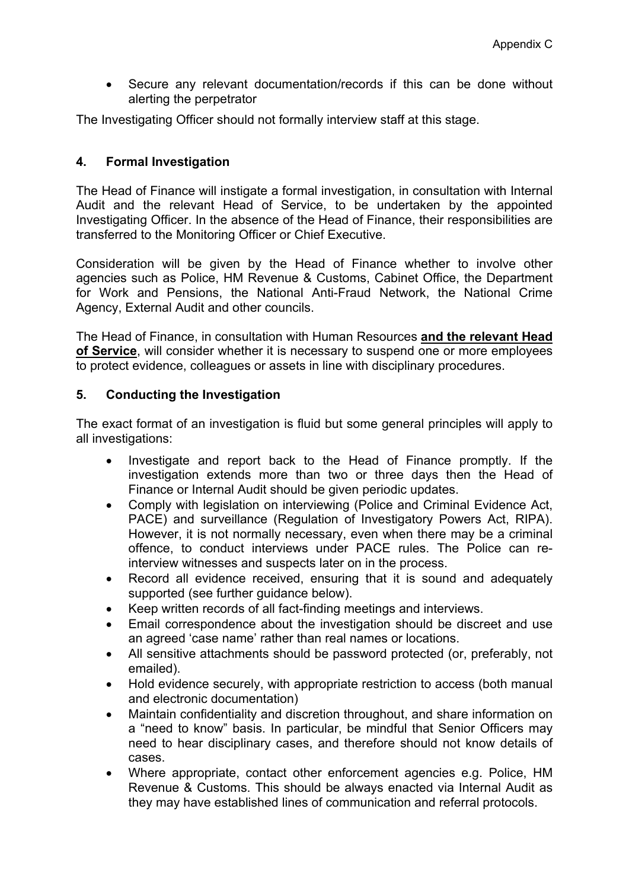Secure any relevant documentation/records if this can be done without alerting the perpetrator

The Investigating Officer should not formally interview staff at this stage.

## **4. Formal Investigation**

The Head of Finance will instigate a formal investigation, in consultation with Internal Audit and the relevant Head of Service, to be undertaken by the appointed Investigating Officer. In the absence of the Head of Finance, their responsibilities are transferred to the Monitoring Officer or Chief Executive.

Consideration will be given by the Head of Finance whether to involve other agencies such as Police, HM Revenue & Customs, Cabinet Office, the Department for Work and Pensions, the National Anti-Fraud Network, the National Crime Agency, External Audit and other councils.

The Head of Finance, in consultation with Human Resources **and the relevant Head of Service**, will consider whether it is necessary to suspend one or more employees to protect evidence, colleagues or assets in line with disciplinary procedures.

#### **5. Conducting the Investigation**

The exact format of an investigation is fluid but some general principles will apply to all investigations:

- Investigate and report back to the Head of Finance promptly. If the investigation extends more than two or three days then the Head of Finance or Internal Audit should be given periodic updates.
- Comply with legislation on interviewing (Police and Criminal Evidence Act, PACE) and surveillance (Regulation of Investigatory Powers Act, RIPA). However, it is not normally necessary, even when there may be a criminal offence, to conduct interviews under PACE rules. The Police can reinterview witnesses and suspects later on in the process.
- Record all evidence received, ensuring that it is sound and adequately supported (see further guidance below).
- Keep written records of all fact-finding meetings and interviews.
- Email correspondence about the investigation should be discreet and use an agreed 'case name' rather than real names or locations.
- All sensitive attachments should be password protected (or, preferably, not emailed).
- Hold evidence securely, with appropriate restriction to access (both manual and electronic documentation)
- Maintain confidentiality and discretion throughout, and share information on a "need to know" basis. In particular, be mindful that Senior Officers may need to hear disciplinary cases, and therefore should not know details of cases.
- Where appropriate, contact other enforcement agencies e.g. Police, HM Revenue & Customs. This should be always enacted via Internal Audit as they may have established lines of communication and referral protocols.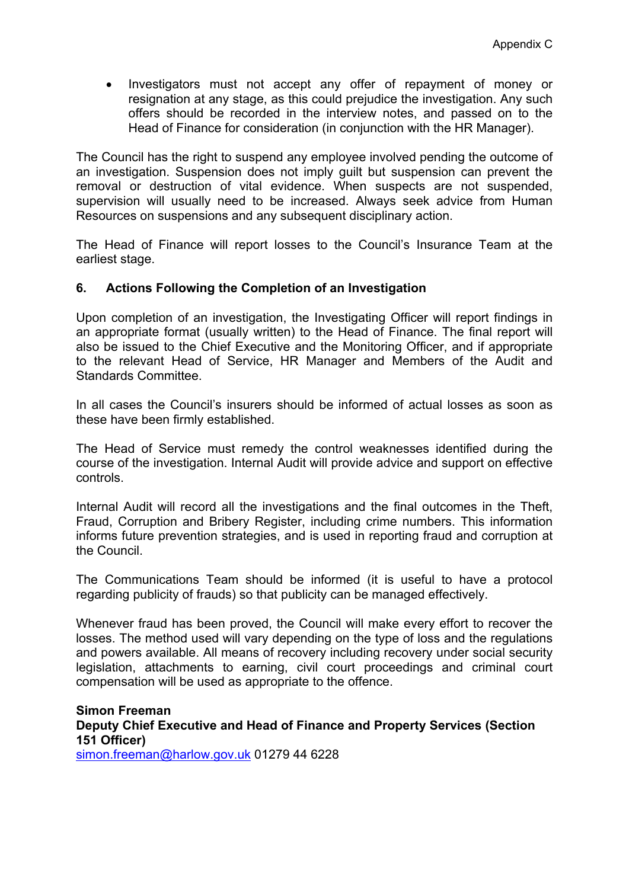Investigators must not accept any offer of repayment of money or resignation at any stage, as this could prejudice the investigation. Any such offers should be recorded in the interview notes, and passed on to the Head of Finance for consideration (in conjunction with the HR Manager).

The Council has the right to suspend any employee involved pending the outcome of an investigation. Suspension does not imply guilt but suspension can prevent the removal or destruction of vital evidence. When suspects are not suspended, supervision will usually need to be increased. Always seek advice from Human Resources on suspensions and any subsequent disciplinary action.

The Head of Finance will report losses to the Council's Insurance Team at the earliest stage.

#### **6. Actions Following the Completion of an Investigation**

Upon completion of an investigation, the Investigating Officer will report findings in an appropriate format (usually written) to the Head of Finance. The final report will also be issued to the Chief Executive and the Monitoring Officer, and if appropriate to the relevant Head of Service, HR Manager and Members of the Audit and Standards Committee.

In all cases the Council's insurers should be informed of actual losses as soon as these have been firmly established.

The Head of Service must remedy the control weaknesses identified during the course of the investigation. Internal Audit will provide advice and support on effective controls.

Internal Audit will record all the investigations and the final outcomes in the Theft, Fraud, Corruption and Bribery Register, including crime numbers. This information informs future prevention strategies, and is used in reporting fraud and corruption at the Council.

The Communications Team should be informed (it is useful to have a protocol regarding publicity of frauds) so that publicity can be managed effectively.

Whenever fraud has been proved, the Council will make every effort to recover the losses. The method used will vary depending on the type of loss and the regulations and powers available. All means of recovery including recovery under social security legislation, attachments to earning, civil court proceedings and criminal court compensation will be used as appropriate to the offence.

## **Simon Freeman Deputy Chief Executive and Head of Finance and Property Services (Section 151 Officer)**

[simon.freeman@harlow.gov.uk](mailto:simon.freeman@harlow.gov.uk) 01279 44 6228